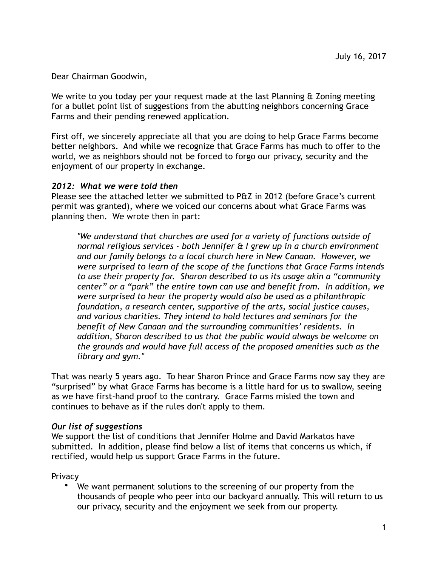Dear Chairman Goodwin,

We write to you today per your request made at the last Planning & Zoning meeting for a bullet point list of suggestions from the abutting neighbors concerning Grace Farms and their pending renewed application.

First off, we sincerely appreciate all that you are doing to help Grace Farms become better neighbors. And while we recognize that Grace Farms has much to offer to the world, we as neighbors should not be forced to forgo our privacy, security and the enjoyment of our property in exchange.

#### *2012: What we were told then*

Please see the attached letter we submitted to P&Z in 2012 (before Grace's current permit was granted), where we voiced our concerns about what Grace Farms was planning then. We wrote then in part:

*"We understand that churches are used for a variety of functions outside of normal religious services - both Jennifer & I grew up in a church environment and our family belongs to a local church here in New Canaan. However, we were surprised to learn of the scope of the functions that Grace Farms intends to use their property for. Sharon described to us its usage akin a "community center" or a "park" the entire town can use and benefit from. In addition, we were surprised to hear the property would also be used as a philanthropic foundation, a research center, supportive of the arts, social justice causes, and various charities. They intend to hold lectures and seminars for the benefit of New Canaan and the surrounding communities' residents. In addition, Sharon described to us that the public would always be welcome on the grounds and would have full access of the proposed amenities such as the library and gym."* 

That was nearly 5 years ago. To hear Sharon Prince and Grace Farms now say they are "surprised" by what Grace Farms has become is a little hard for us to swallow, seeing as we have first-hand proof to the contrary. Grace Farms misled the town and continues to behave as if the rules don't apply to them.

#### *Our list of suggestions*

We support the list of conditions that Jennifer Holme and David Markatos have submitted. In addition, please find below a list of items that concerns us which, if rectified, would help us support Grace Farms in the future.

**Privacy** 

• We want permanent solutions to the screening of our property from the thousands of people who peer into our backyard annually. This will return to us our privacy, security and the enjoyment we seek from our property.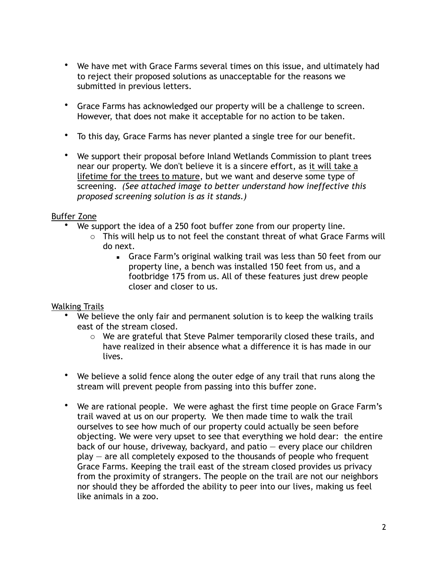- We have met with Grace Farms several times on this issue, and ultimately had to reject their proposed solutions as unacceptable for the reasons we submitted in previous letters.
- Grace Farms has acknowledged our property will be a challenge to screen. However, that does not make it acceptable for no action to be taken.
- To this day, Grace Farms has never planted a single tree for our benefit.
- We support their proposal before Inland Wetlands Commission to plant trees near our property. We don't believe it is a sincere effort, as it will take a lifetime for the trees to mature, but we want and deserve some type of screening. *(See attached image to better understand how ineffective this proposed screening solution is as it stands.)*

# Buffer Zone

- We support the idea of a 250 foot buffer zone from our property line.
	- $\circ$  This will help us to not feel the constant threat of what Grace Farms will do next.
		- **EXA** Grace Farm's original walking trail was less than 50 feet from our property line, a bench was installed 150 feet from us, and a footbridge 175 from us. All of these features just drew people closer and closer to us.

# Walking Trails

- We believe the only fair and permanent solution is to keep the walking trails east of the stream closed.
	- o We are grateful that Steve Palmer temporarily closed these trails, and have realized in their absence what a difference it is has made in our lives.
- We believe a solid fence along the outer edge of any trail that runs along the stream will prevent people from passing into this buffer zone.
- We are rational people. We were aghast the first time people on Grace Farm's trail waved at us on our property. We then made time to walk the trail ourselves to see how much of our property could actually be seen before objecting. We were very upset to see that everything we hold dear: the entire back of our house, driveway, backyard, and patio — every place our children play — are all completely exposed to the thousands of people who frequent Grace Farms. Keeping the trail east of the stream closed provides us privacy from the proximity of strangers. The people on the trail are not our neighbors nor should they be afforded the ability to peer into our lives, making us feel like animals in a zoo.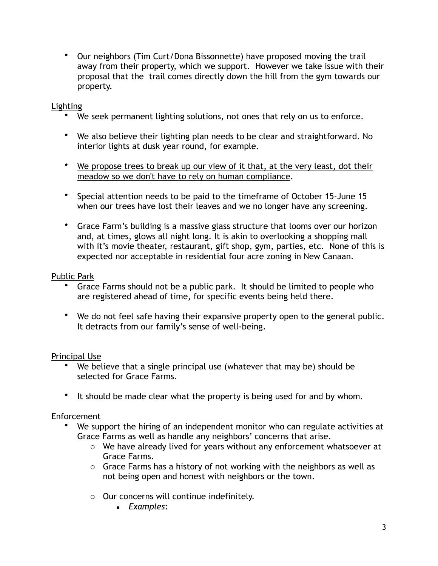• Our neighbors (Tim Curt/Dona Bissonnette) have proposed moving the trail away from their property, which we support. However we take issue with their proposal that the trail comes directly down the hill from the gym towards our property.

## Lighting

- We seek permanent lighting solutions, not ones that rely on us to enforce.
- We also believe their lighting plan needs to be clear and straightforward. No interior lights at dusk year round, for example.
- We propose trees to break up our view of it that, at the very least, dot their meadow so we don't have to rely on human compliance.
- Special attention needs to be paid to the timeframe of October 15-June 15 when our trees have lost their leaves and we no longer have any screening.
- Grace Farm's building is a massive glass structure that looms over our horizon and, at times, glows all night long. It is akin to overlooking a shopping mall with it's movie theater, restaurant, gift shop, gym, parties, etc. None of this is expected nor acceptable in residential four acre zoning in New Canaan.

## Public Park

- Grace Farms should not be a public park. It should be limited to people who are registered ahead of time, for specific events being held there.
- We do not feel safe having their expansive property open to the general public. It detracts from our family's sense of well-being.

#### Principal Use

- We believe that a single principal use (whatever that may be) should be selected for Grace Farms.
- It should be made clear what the property is being used for and by whom.

#### Enforcement

- We support the hiring of an independent monitor who can regulate activities at Grace Farms as well as handle any neighbors' concerns that arise.
	- o We have already lived for years without any enforcement whatsoever at Grace Farms.
	- o Grace Farms has a history of not working with the neighbors as well as not being open and honest with neighbors or the town.
	- o Our concerns will continue indefinitely.
		- *Examples*: